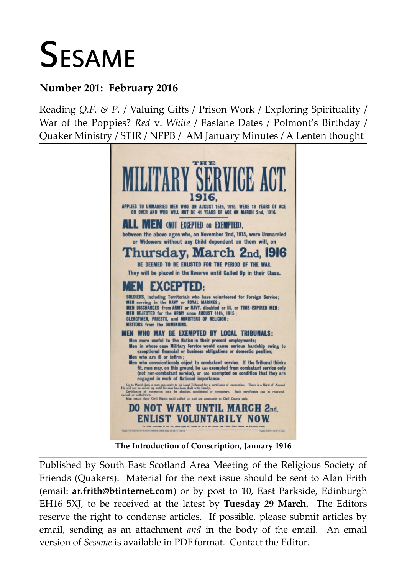# **SESAME**

## **Number 201: February 2016**

Reading *Q.F. & P.* / Valuing Gifts / Prison Work / Exploring Spirituality / War of the Poppies? *Red* v. *White* / Faslane Dates / Polmont's Birthday / Quaker Ministry / STIR / NFPB / AM January Minutes / A Lenten thought



**The Introduction of Conscription, January 1916 \_\_\_\_\_\_\_\_\_\_\_\_\_\_\_\_\_\_\_\_\_\_\_\_\_\_\_\_\_\_\_\_\_\_\_\_\_\_\_\_\_\_\_\_\_\_\_\_\_\_\_\_\_\_\_\_\_\_\_\_\_\_\_\_\_\_\_\_\_\_\_\_\_\_\_\_\_\_\_\_\_\_\_\_\_\_\_\_\_\_\_\_\_\_\_\_\_\_\_\_\_\_\_\_\_\_\_\_\_\_\_\_\_\_\_\_\_\_\_\_**

Published by South East Scotland Area Meeting of the Religious Society of Friends (Quakers). Material for the next issue should be sent to Alan Frith (email: **[ar.frith@btinternet.com](mailto:ar.frith@btinternet.com)**) or by post to 10, East Parkside, Edinburgh EH16 5XJ, to be received at the latest by **Tuesday 29 March.** The Editors reserve the right to condense articles. If possible, please submit articles by email, sending as an attachment *and* in the body of the email. An email version of *Sesame* is available in PDF format. Contact the Editor.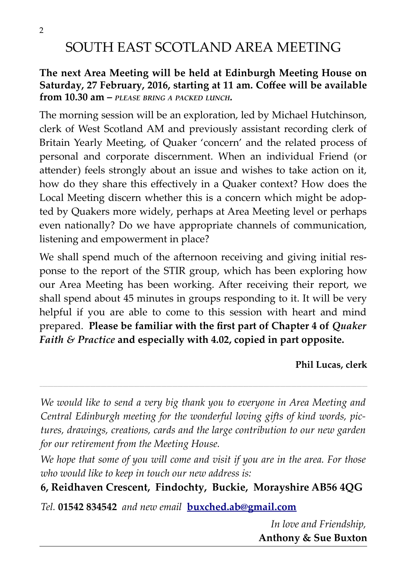# SOUTH EAST SCOTLAND AREA MEETING

#### **The next Area Meeting will be held at Edinburgh Meeting House on Saturday, 27 February, 2016, starting at 11 am. Coffee will be available from 10.30 am –** *PLEASE BRING <sup>A</sup> PACKED LUNCH.*

The morning session will be an exploration, led by Michael Hutchinson, clerk of West Scotland AM and previously assistant recording clerk of Britain Yearly Meeting, of Quaker 'concern' and the related process of personal and corporate discernment. When an individual Friend (or attender) feels strongly about an issue and wishes to take action on it, how do they share this effectively in a Quaker context? How does the Local Meeting discern whether this is a concern which might be adopted by Quakers more widely, perhaps at Area Meeting level or perhaps even nationally? Do we have appropriate channels of communication, listening and empowerment in place?

We shall spend much of the afternoon receiving and giving initial response to the report of the STIR group, which has been exploring how our Area Meeting has been working. After receiving their report, we shall spend about 45 minutes in groups responding to it. It will be very helpful if you are able to come to this session with heart and mind prepared. **Please be familiar with the first part of Chapter 4 of** *Quaker Faith & Practice* **and especially with 4.02, copied in part opposite.**

**Phil Lucas, clerk**

*We would like to send a very big thank you to everyone in Area Meeting and Central Edinburgh meeting for the wonderful loving gifts of kind words, pictures, drawings, creations, cards and the large contribution to our new garden for our retirement from the Meeting House.* 

\_\_\_\_\_\_\_\_\_\_\_\_\_\_\_\_\_\_\_\_\_\_\_\_\_\_\_\_\_\_\_\_\_\_\_\_\_\_\_\_\_\_\_\_\_\_\_\_\_\_\_\_\_\_\_\_\_\_\_\_\_\_\_\_\_\_\_\_\_\_\_\_\_\_\_\_\_\_\_\_\_\_\_\_\_\_\_\_\_\_\_\_\_\_\_\_\_\_\_\_\_\_\_\_\_\_\_\_\_\_\_\_\_\_\_\_\_\_\_\_\_\_\_\_\_\_\_\_\_\_\_\_\_\_\_\_\_\_\_\_\_\_\_\_\_\_\_\_\_\_\_\_\_\_\_\_\_\_\_\_\_\_\_\_\_\_\_\_\_\_\_\_\_\_\_\_\_\_\_\_\_\_\_\_\_\_\_\_\_\_\_\_\_\_\_\_\_\_\_\_\_\_\_\_\_\_\_\_\_\_\_\_\_\_\_\_\_\_\_\_\_\_\_\_\_\_\_\_\_\_\_\_\_\_\_\_\_\_\_\_

*We hope that some of you will come and visit if you are in the area. For those who would like to keep in touch our new address is:*

**6, Reidhaven Crescent, Findochty, Buckie, Morayshire AB56 4QG**

*Tel.* **01542 834542** *and new email* **[buxched.ab@gmail.com](mailto:buxched.ab@gmail.com)**

*In love and Friendship,* **Anthony & Sue Buxton**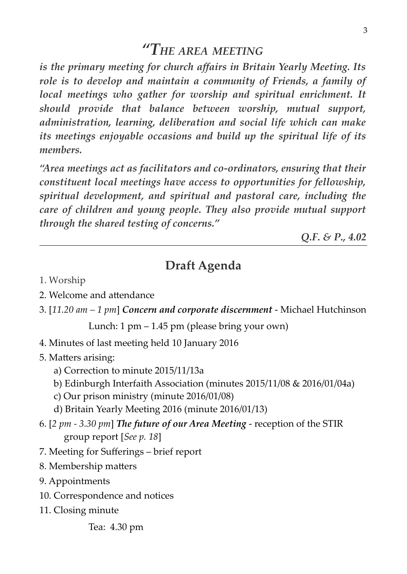*is the primary meeting for church affairs in Britain Yearly Meeting. Its role is to develop and maintain a community of Friends, a family of local meetings who gather for worship and spiritual enrichment. It should provide that balance between worship, mutual support, administration, learning, deliberation and social life which can make its meetings enjoyable occasions and build up the spiritual life of its members.*

*"Area meetings act as facilitators and co-ordinators, ensuring that their constituent local meetings have access to opportunities for fellowship, spiritual development, and spiritual and pastoral care, including the care of children and young people. They also provide mutual support through the shared testing of concerns."*

*Q.F. & P., 4.02*

## **Draft Agenda**

- 1. Worship
- 2. Welcome and attendance
- 3. [*11.20 am 1 pm*] *Concern and corporate discernment*  Michael Hutchinson

Lunch: 1 pm – 1.45 pm (please bring your own)

4. Minutes of last meeting held 10 January 2016

5. Matters arising:

- a) Correction to minute 2015/11/13a
- b) Edinburgh Interfaith Association (minutes 2015/11/08 & 2016/01/04a)
- c) Our prison ministry (minute 2016/01/08)
- d) Britain Yearly Meeting 2016 (minute 2016/01/13)
- 6. [*2 pm 3.30 pm*] *The future of our Area Meeting* reception of the STIR group report [*See p. 18*]
- 7. Meeting for Sufferings brief report
- 8. Membership matters
- 9. Appointments
- 10. Correspondence and notices
- 11. Closing minute

Tea: 4.30 pm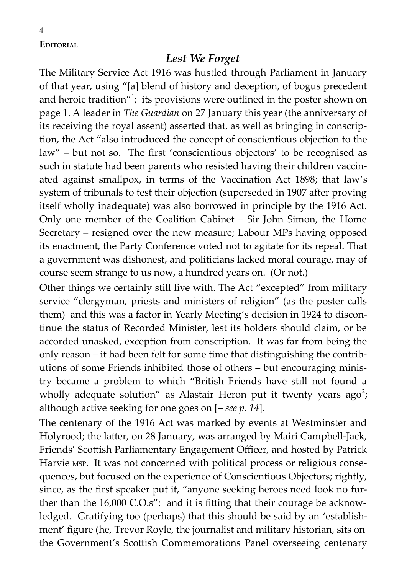**EDITORIAL**

4

#### *Lest We Forget*

The Military Service Act 1916 was hustled through Parliament in January of that year, using "[a] blend of history and deception, of bogus precedent and heroic tradition"<sup>1</sup>; its provisions were outlined in the poster shown on page 1. A leader in *The Guardian* on 27 January this year (the anniversary of its receiving the royal assent) asserted that, as well as bringing in conscription, the Act "also introduced the concept of conscientious objection to the law" – but not so. The first 'conscientious objectors' to be recognised as such in statute had been parents who resisted having their children vaccinated against smallpox, in terms of the Vaccination Act 1898; that law's system of tribunals to test their objection (superseded in 1907 after proving itself wholly inadequate) was also borrowed in principle by the 1916 Act. Only one member of the Coalition Cabinet – Sir John Simon, the Home Secretary – resigned over the new measure; Labour MPs having opposed its enactment, the Party Conference voted not to agitate for its repeal. That a government was dishonest, and politicians lacked moral courage, may of course seem strange to us now, a hundred years on. (Or not.)

Other things we certainly still live with. The Act "excepted" from military service "clergyman, priests and ministers of religion" (as the poster calls them) and this was a factor in Yearly Meeting's decision in 1924 to discontinue the status of Recorded Minister, lest its holders should claim, or be accorded unasked, exception from conscription. It was far from being the only reason – it had been felt for some time that distinguishing the contributions of some Friends inhibited those of others – but encouraging ministry became a problem to which "British Friends have still not found a wholly adequate solution" as Alastair Heron put it twenty years ago<sup>2</sup>; although active seeking for one goes on [– *see p. 14*].

The centenary of the 1916 Act was marked by events at Westminster and Holyrood; the latter, on 28 January, was arranged by Mairi Campbell-Jack, Friends' Scottish Parliamentary Engagement Officer, and hosted by Patrick Harvie MSP. It was not concerned with political process or religious consequences, but focused on the experience of Conscientious Objectors; rightly, since, as the first speaker put it, "anyone seeking heroes need look no further than the 16,000 C.O.s"; and it is fitting that their courage be acknowledged. Gratifying too (perhaps) that this should be said by an 'establishment' figure (he, Trevor Royle, the journalist and military historian, sits on the Government's Scottish Commemorations Panel overseeing centenary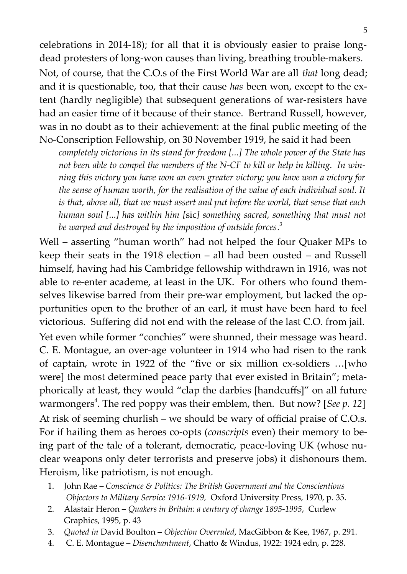celebrations in 2014-18); for all that it is obviously easier to praise longdead protesters of long-won causes than living, breathing trouble-makers. Not, of course, that the C.O.s of the First World War are all *that* long dead;

and it is questionable, too, that their cause *has* been won, except to the extent (hardly negligible) that subsequent generations of war-resisters have had an easier time of it because of their stance. Bertrand Russell, however, was in no doubt as to their achievement: at the final public meeting of the No-Conscription Fellowship, on 30 November 1919, he said it had been

*completely victorious in its stand for freedom [...] The whole power of the State has not been able to compel the members of the N-CF to kill or help in killing. In winning this victory you have won an even greater victory; you have won a victory for the sense of human worth, for the realisation of the value of each individual soul. It is that, above all, that we must assert and put before the world, that sense that each human soul [...] has within him [*sic*] something sacred, something that must not be warped and destroyed by the imposition of outside forces*. 3

Well – asserting "human worth" had not helped the four Quaker MPs to keep their seats in the 1918 election – all had been ousted – and Russell himself, having had his Cambridge fellowship withdrawn in 1916, was not able to re-enter academe, at least in the UK. For others who found themselves likewise barred from their pre-war employment, but lacked the opportunities open to the brother of an earl, it must have been hard to feel victorious. Suffering did not end with the release of the last C.O. from jail.

Yet even while former "conchies" were shunned, their message was heard. C. E. Montague, an over-age volunteer in 1914 who had risen to the rank of captain, wrote in 1922 of the "five or six million ex-soldiers …[who were] the most determined peace party that ever existed in Britain"; metaphorically at least, they would "clap the darbies [handcuffs]" on all future warmongers<sup>4</sup>. The red poppy was their emblem, then. But now? [See p. 12] At risk of seeming churlish – we should be wary of official praise of C.O.s. For if hailing them as heroes co-opts (*conscripts* even) their memory to being part of the tale of a tolerant, democratic, peace-loving UK (whose nuclear weapons only deter terrorists and preserve jobs) it dishonours them. Heroism, like patriotism, is not enough.

- 1. John Rae *Conscience & Politics: The British Government and the Conscientious Objectors to Military Service 1916-1919,* Oxford University Press, 1970, p. 35.
- 2. Alastair Heron *Quakers in Britain: a century of change 1895-1995*, Curlew Graphics, 1995, p. 43
- 3. *Quoted in* David Boulton *Objection Overruled*, MacGibbon & Kee, 1967, p. 291.
- 4. C. E. Montague *Disenchantment*, Chatto & Windus, 1922: 1924 edn, p. 228.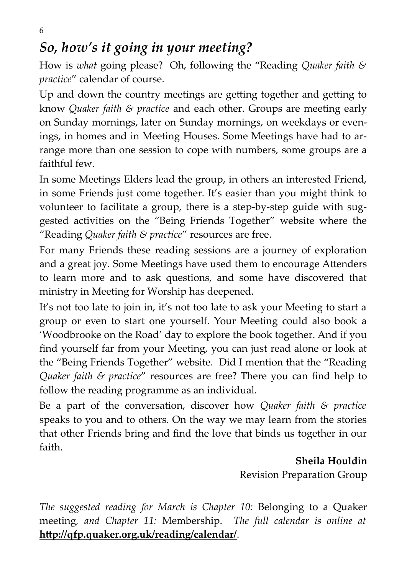6

# *So, how's it going in your meeting?*

How is *what* going please? Oh, following the "Reading *Quaker faith & practice*" calendar of course.

Up and down the country meetings are getting together and getting to know *Quaker faith & practice* and each other. Groups are meeting early on Sunday mornings, later on Sunday mornings, on weekdays or evenings, in homes and in Meeting Houses. Some Meetings have had to arrange more than one session to cope with numbers, some groups are a faithful few.

In some Meetings Elders lead the group, in others an interested Friend, in some Friends just come together. It's easier than you might think to volunteer to facilitate a group, there is a step-by-step guide with suggested activities on the "Being Friends Together" website where the "Reading *Quaker faith & practice*" resources are free.

For many Friends these reading sessions are a journey of exploration and a great joy. Some Meetings have used them to encourage Attenders to learn more and to ask questions, and some have discovered that ministry in Meeting for Worship has deepened.

It's not too late to join in, it's not too late to ask your Meeting to start a group or even to start one yourself. Your Meeting could also book a 'Woodbrooke on the Road' day to explore the book together. And if you find yourself far from your Meeting, you can just read alone or look at the "Being Friends Together" website. Did I mention that the "Reading *Quaker faith & practice*" resources are free? There you can find help to follow the reading programme as an individual.

Be a part of the conversation, discover how *Quaker faith & practice* speaks to you and to others. On the way we may learn from the stories that other Friends bring and find the love that binds us together in our faith.

> **Sheila Houldin** Revision Preparation Group

*The suggested reading for March is Chapter 10:* Belonging to a Quaker meeting*, and Chapter 11:* Membership. *The full calendar is online at* **http://qfp.quaker.org.uk/reading/calendar/**.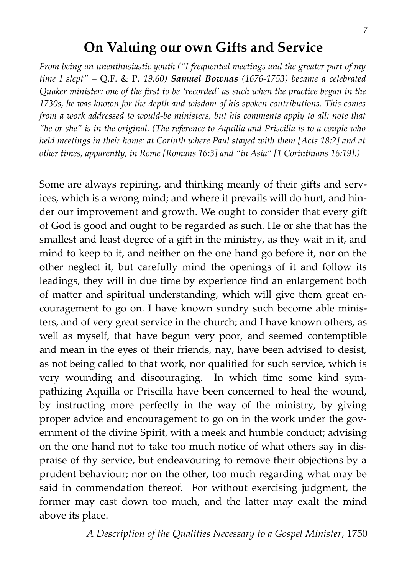## **On Valuing our own Gifts and Service**

*From being an unenthusiastic youth ("I frequented meetings and the greater part of my time I slept" –* Q.F. & P. *19.60) Samuel Bownas (1676-1753) became a celebrated Quaker minister: one of the first to be 'recorded' as such when the practice began in the 1730s, he was known for the depth and wisdom of his spoken contributions. This comes from a work addressed to would-be ministers, but his comments apply to all: note that "he or she" is in the original. (The reference to Aquilla and Priscilla is to a couple who held meetings in their home: at Corinth where Paul stayed with them [Acts 18:2] and at other times, apparently, in Rome [Romans 16:3] and "in Asia" [1 Corinthians 16:19].)*

Some are always repining, and thinking meanly of their gifts and services, which is a wrong mind; and where it prevails will do hurt, and hinder our improvement and growth. We ought to consider that every gift of God is good and ought to be regarded as such. He or she that has the smallest and least degree of a gift in the ministry, as they wait in it, and mind to keep to it, and neither on the one hand go before it, nor on the other neglect it, but carefully mind the openings of it and follow its leadings, they will in due time by experience find an enlargement both of matter and spiritual understanding, which will give them great encouragement to go on. I have known sundry such become able ministers, and of very great service in the church; and I have known others, as well as myself, that have begun very poor, and seemed contemptible and mean in the eyes of their friends, nay, have been advised to desist, as not being called to that work, nor qualified for such service, which is very wounding and discouraging. In which time some kind sympathizing Aquilla or Priscilla have been concerned to heal the wound, by instructing more perfectly in the way of the ministry, by giving proper advice and encouragement to go on in the work under the government of the divine Spirit, with a meek and humble conduct; advising on the one hand not to take too much notice of what others say in dispraise of thy service, but endeavouring to remove their objections by a prudent behaviour; nor on the other, too much regarding what may be said in commendation thereof. For without exercising judgment, the former may cast down too much, and the latter may exalt the mind above its place.

*A Description of the Qualities Necessary to a Gospel Minister*, 1750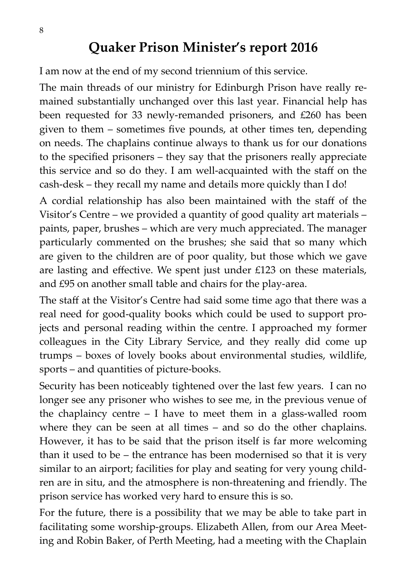I am now at the end of my second triennium of this service.

The main threads of our ministry for Edinburgh Prison have really remained substantially unchanged over this last year. Financial help has been requested for 33 newly-remanded prisoners, and £260 has been given to them – sometimes five pounds, at other times ten, depending on needs. The chaplains continue always to thank us for our donations to the specified prisoners – they say that the prisoners really appreciate this service and so do they. I am well-acquainted with the staff on the cash-desk – they recall my name and details more quickly than I do!

A cordial relationship has also been maintained with the staff of the Visitor's Centre – we provided a quantity of good quality art materials – paints, paper, brushes – which are very much appreciated. The manager particularly commented on the brushes; she said that so many which are given to the children are of poor quality, but those which we gave are lasting and effective. We spent just under £123 on these materials, and £95 on another small table and chairs for the play-area.

The staff at the Visitor's Centre had said some time ago that there was a real need for good-quality books which could be used to support projects and personal reading within the centre. I approached my former colleagues in the City Library Service, and they really did come up trumps – boxes of lovely books about environmental studies, wildlife, sports – and quantities of picture-books.

Security has been noticeably tightened over the last few years. I can no longer see any prisoner who wishes to see me, in the previous venue of the chaplaincy centre  $-$  I have to meet them in a glass-walled room where they can be seen at all times – and so do the other chaplains. However, it has to be said that the prison itself is far more welcoming than it used to be – the entrance has been modernised so that it is very similar to an airport; facilities for play and seating for very young children are in situ, and the atmosphere is non-threatening and friendly. The prison service has worked very hard to ensure this is so.

For the future, there is a possibility that we may be able to take part in facilitating some worship-groups. Elizabeth Allen, from our Area Meeting and Robin Baker, of Perth Meeting, had a meeting with the Chaplain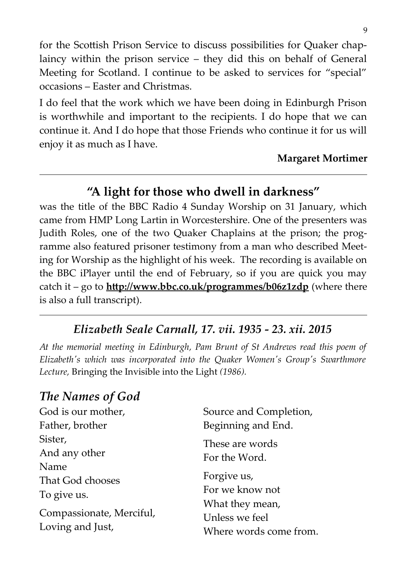for the Scottish Prison Service to discuss possibilities for Quaker chaplaincy within the prison service – they did this on behalf of General Meeting for Scotland. I continue to be asked to services for "special" occasions – Easter and Christmas.

I do feel that the work which we have been doing in Edinburgh Prison is worthwhile and important to the recipients. I do hope that we can continue it. And I do hope that those Friends who continue it for us will enjoy it as much as I have.

#### **Margaret Mortimer**

## **"A light for those who dwell in darkness"**

was the title of the BBC Radio 4 Sunday Worship on 31 January, which came from HMP Long Lartin in Worcestershire. One of the presenters was Judith Roles, one of the two Quaker Chaplains at the prison; the programme also featured prisoner testimony from a man who described Meeting for Worship as the highlight of his week. The recording is available on the BBC iPlayer until the end of February, so if you are quick you may catch it – go to **http://www.bbc.co.uk/programmes/b06z1zdp** (where there is also a full transcript).

## *Elizabeth Seale Carnall, 17. vii. 1935 - 23. xii. 2015*

*At the memorial meeting in Edinburgh, Pam Brunt of St Andrews read this poem of Elizabeth's which was incorporated into the Quaker Women's Group's Swarthmore Lecture,* Bringing the Invisible into the Light *(1986).*

# *The Names of God*

| God is our mother,       | Source and Completion, |  |  |  |
|--------------------------|------------------------|--|--|--|
| Father, brother          | Beginning and End.     |  |  |  |
| Sister,                  | These are words        |  |  |  |
| And any other            | For the Word.          |  |  |  |
| Name                     |                        |  |  |  |
| That God chooses         | Forgive us,            |  |  |  |
| To give us.              | For we know not        |  |  |  |
|                          | What they mean,        |  |  |  |
| Compassionate, Merciful, | Unless we feel         |  |  |  |
| Loving and Just,         | Where words come from. |  |  |  |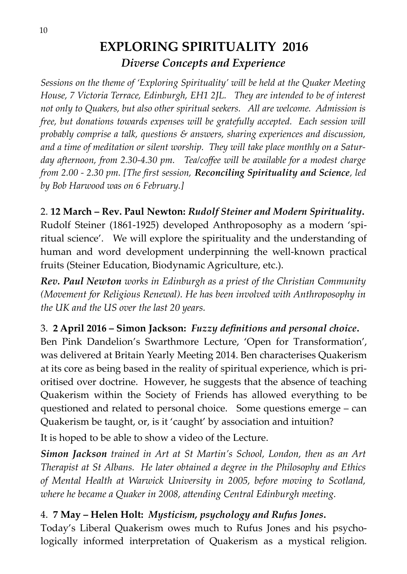## **EXPLORING SPIRITUALITY 2016** *Diverse Concepts and Experience*

*Sessions on the theme of 'Exploring Spirituality' will be held at the Quaker Meeting House, 7 Victoria Terrace, Edinburgh, EH1 2JL. They are intended to be of interest not only to Quakers, but also other spiritual seekers. All are welcome. Admission is free, but donations towards expenses will be gratefully accepted. Each session will probably comprise a talk, questions & answers, sharing experiences and discussion, and a time of meditation or silent worship. They will take place monthly on a Saturday afternoon, from 2.30-4.30 pm. Tea/coffee will be available for a modest charge from 2.00 - 2.30 pm. [The first session, Reconciling Spirituality and Science, led by Bob Harwood was on 6 February.]*

## 2. **12 March – Rev. Paul Newton:** *Rudolf Steiner and Modern Spirituality***.**

Rudolf Steiner (1861-1925) developed Anthroposophy as a modern 'spiritual science'. We will explore the spirituality and the understanding of human and word development underpinning the well-known practical fruits (Steiner Education, Biodynamic Agriculture, etc.).

*Rev. Paul Newton works in Edinburgh as a priest of the Christian Community (Movement for Religious Renewal). He has been involved with Anthroposophy in the UK and the US over the last 20 years.*

#### 3. **2 April 2016 – Simon Jackson:** *Fuzzy definitions and personal choice***.**

Ben Pink Dandelion's Swarthmore Lecture, 'Open for Transformation', was delivered at Britain Yearly Meeting 2014. Ben characterises Quakerism at its core as being based in the reality of spiritual experience, which is prioritised over doctrine. However, he suggests that the absence of teaching Quakerism within the Society of Friends has allowed everything to be questioned and related to personal choice. Some questions emerge – can Quakerism be taught, or, is it 'caught' by association and intuition?

It is hoped to be able to show a video of the Lecture.

*Simon Jackson trained in Art at St Martin's School, London, then as an Art Therapist at St Albans. He later obtained a degree in the Philosophy and Ethics of Mental Health at Warwick University in 2005, before moving to Scotland, where he became a Quaker in 2008, attending Central Edinburgh meeting.*

## 4. **7 May – Helen Holt:** *Mysticism, psychology and Rufus Jones***.**

Today's Liberal Quakerism owes much to Rufus Jones and his psychologically informed interpretation of Quakerism as a mystical religion.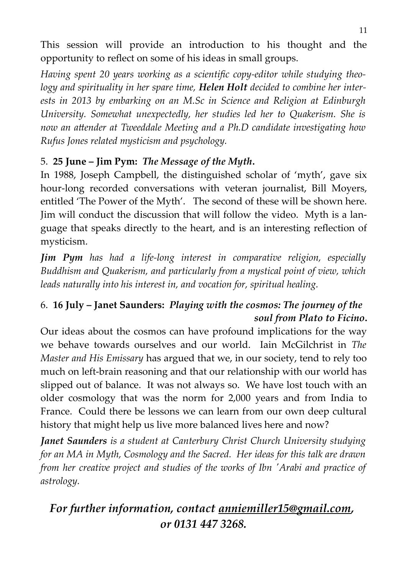This session will provide an introduction to his thought and the opportunity to reflect on some of his ideas in small groups.

*Having spent 20 years working as a scientific copy-editor while studying theology and spirituality in her spare time, Helen Holt decided to combine her interests in 2013 by embarking on an M.Sc in Science and Religion at Edinburgh University. Somewhat unexpectedly, her studies led her to Quakerism. She is now an attender at Tweeddale Meeting and a Ph.D candidate investigating how Rufus Jones related mysticism and psychology.*

## 5. **25 June – Jim Pym:** *The Message of the Myth***.**

In 1988, Joseph Campbell, the distinguished scholar of 'myth', gave six hour-long recorded conversations with veteran journalist, Bill Moyers, entitled 'The Power of the Myth'. The second of these will be shown here. Jim will conduct the discussion that will follow the video. Myth is a language that speaks directly to the heart, and is an interesting reflection of mysticism.

*Jim Pym has had a life-long interest in comparative religion, especially Buddhism and Quakerism, and particularly from a mystical point of view, which leads naturally into his interest in, and vocation for, spiritual healing.*

## 6. **16 July – Janet Saunders:** *Playing with the cosmos: The journey of the soul from Plato to Ficino***.**

Our ideas about the cosmos can have profound implications for the way we behave towards ourselves and our world. Iain McGilchrist in *The Master and His Emissary* has argued that we, in our society, tend to rely too much on left-brain reasoning and that our relationship with our world has slipped out of balance. It was not always so. We have lost touch with an older cosmology that was the norm for 2,000 years and from India to France. Could there be lessons we can learn from our own deep cultural history that might help us live more balanced lives here and now?

*Janet Saunders is a student at Canterbury Christ Church University studying for an MA in Myth, Cosmology and the Sacred. Her ideas for this talk are drawn from her creative project and studies of the works of Ibn 'Arabi and practice of astrology.*

# *For further information, contact anniemiller15@gmail.com, or 0131 447 3268.*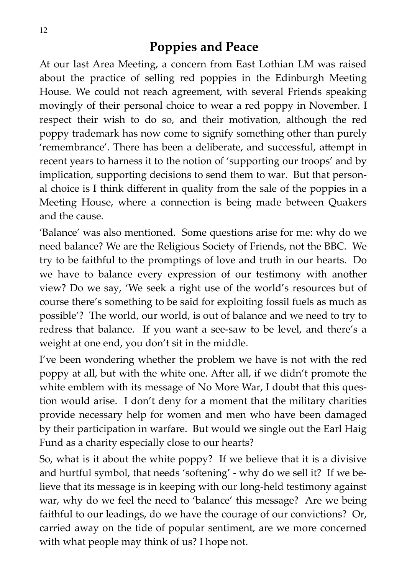## **Poppies and Peace**

At our last Area Meeting, a concern from East Lothian LM was raised about the practice of selling red poppies in the Edinburgh Meeting House. We could not reach agreement, with several Friends speaking movingly of their personal choice to wear a red poppy in November. I respect their wish to do so, and their motivation, although the red poppy trademark has now come to signify something other than purely 'remembrance'. There has been a deliberate, and successful, attempt in recent years to harness it to the notion of 'supporting our troops' and by implication, supporting decisions to send them to war. But that personal choice is I think different in quality from the sale of the poppies in a Meeting House, where a connection is being made between Quakers and the cause.

'Balance' was also mentioned. Some questions arise for me: why do we need balance? We are the Religious Society of Friends, not the BBC. We try to be faithful to the promptings of love and truth in our hearts. Do we have to balance every expression of our testimony with another view? Do we say, 'We seek a right use of the world's resources but of course there's something to be said for exploiting fossil fuels as much as possible'? The world, our world, is out of balance and we need to try to redress that balance. If you want a see-saw to be level, and there's a weight at one end, you don't sit in the middle.

I've been wondering whether the problem we have is not with the red poppy at all, but with the white one. After all, if we didn't promote the white emblem with its message of No More War, I doubt that this question would arise. I don't deny for a moment that the military charities provide necessary help for women and men who have been damaged by their participation in warfare. But would we single out the Earl Haig Fund as a charity especially close to our hearts?

So, what is it about the white poppy? If we believe that it is a divisive and hurtful symbol, that needs 'softening' - why do we sell it? If we believe that its message is in keeping with our long-held testimony against war, why do we feel the need to 'balance' this message? Are we being faithful to our leadings, do we have the courage of our convictions? Or, carried away on the tide of popular sentiment, are we more concerned with what people may think of us? I hope not.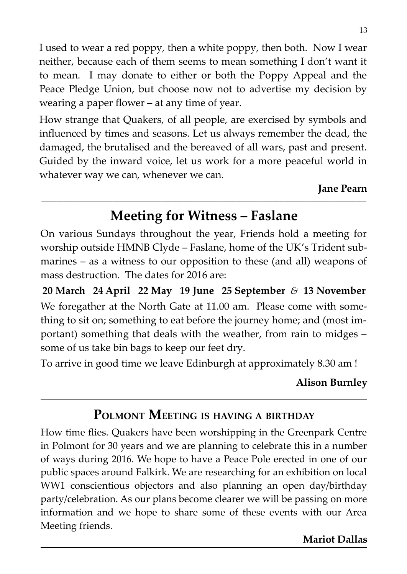I used to wear a red poppy, then a white poppy, then both. Now I wear neither, because each of them seems to mean something I don't want it to mean. I may donate to either or both the Poppy Appeal and the Peace Pledge Union, but choose now not to advertise my decision by wearing a paper flower – at any time of year.

How strange that Quakers, of all people, are exercised by symbols and influenced by times and seasons. Let us always remember the dead, the damaged, the brutalised and the bereaved of all wars, past and present. Guided by the inward voice, let us work for a more peaceful world in whatever way we can, whenever we can.

#### **Jane Pearn**

## **Meeting for Witness – Faslane**

\_\_\_\_\_\_\_\_\_\_\_\_\_\_\_\_\_\_\_\_\_\_\_\_\_\_\_\_\_\_\_\_\_\_\_\_\_\_\_\_\_\_\_\_\_\_\_\_\_\_\_\_\_\_\_\_\_\_\_\_\_\_\_\_\_\_\_\_\_\_\_\_\_\_\_\_\_\_\_\_\_\_\_\_\_\_\_\_\_\_\_\_\_\_\_\_\_\_\_\_\_\_\_\_\_\_\_\_\_\_\_\_\_\_\_\_\_\_\_

On various Sundays throughout the year, Friends hold a meeting for worship outside HMNB Clyde – Faslane, home of the UK's Trident submarines – as a witness to our opposition to these (and all) weapons of mass destruction. The dates for 2016 are:

**20 March 24 April 22 May 19 June 25 September** *&* **13 November** We foregather at the North Gate at 11.00 am. Please come with something to sit on; something to eat before the journey home; and (most important) something that deals with the weather, from rain to midges – some of us take bin bags to keep our feet dry.

To arrive in good time we leave Edinburgh at approximately 8.30 am !

#### **Alison Burnley**

# **POLMONT MEETING IS HAVING <sup>A</sup> BIRTHDAY**

How time flies. Quakers have been worshipping in the Greenpark Centre in Polmont for 30 years and we are planning to celebrate this in a number of ways during 2016. We hope to have a Peace Pole erected in one of our public spaces around Falkirk. We are researching for an exhibition on local WW1 conscientious objectors and also planning an open day/birthday party/celebration. As our plans become clearer we will be passing on more information and we hope to share some of these events with our Area Meeting friends.

#### **Mariot Dallas**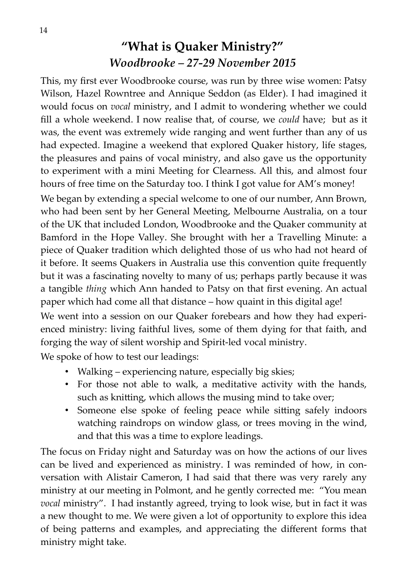# **"What is Quaker Ministry?"**  *Woodbrooke – 27-29 November 2015*

This, my first ever Woodbrooke course, was run by three wise women: Patsy Wilson, Hazel Rowntree and Annique Seddon (as Elder). I had imagined it would focus on *vocal* ministry, and I admit to wondering whether we could fill a whole weekend. I now realise that, of course, we *could* have; but as it was, the event was extremely wide ranging and went further than any of us had expected. Imagine a weekend that explored Quaker history, life stages, the pleasures and pains of vocal ministry, and also gave us the opportunity to experiment with a mini Meeting for Clearness. All this, and almost four hours of free time on the Saturday too. I think I got value for AM's money!

We began by extending a special welcome to one of our number, Ann Brown, who had been sent by her General Meeting, Melbourne Australia, on a tour of the UK that included London, Woodbrooke and the Quaker community at Bamford in the Hope Valley. She brought with her a Travelling Minute: a piece of Quaker tradition which delighted those of us who had not heard of it before. It seems Quakers in Australia use this convention quite frequently but it was a fascinating novelty to many of us; perhaps partly because it was a tangible *thing* which Ann handed to Patsy on that first evening. An actual paper which had come all that distance – how quaint in this digital age!

We went into a session on our Quaker forebears and how they had experienced ministry: living faithful lives, some of them dying for that faith, and forging the way of silent worship and Spirit-led vocal ministry.

We spoke of how to test our leadings:

- Walking experiencing nature, especially big skies;
- For those not able to walk, a meditative activity with the hands, such as knitting, which allows the musing mind to take over;
- Someone else spoke of feeling peace while sitting safely indoors watching raindrops on window glass, or trees moving in the wind, and that this was a time to explore leadings.

The focus on Friday night and Saturday was on how the actions of our lives can be lived and experienced as ministry. I was reminded of how, in conversation with Alistair Cameron, I had said that there was very rarely any ministry at our meeting in Polmont, and he gently corrected me: "You mean *vocal* ministry". I had instantly agreed, trying to look wise, but in fact it was a new thought to me. We were given a lot of opportunity to explore this idea of being patterns and examples, and appreciating the different forms that ministry might take.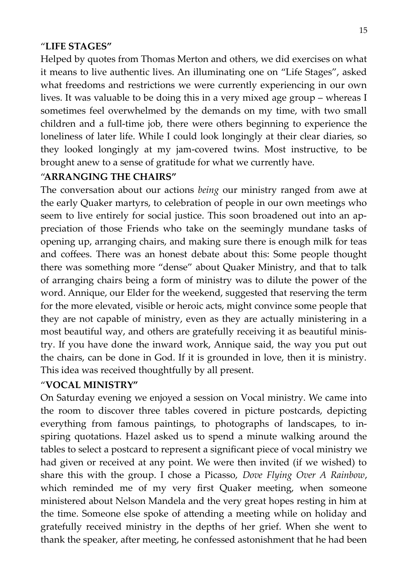#### "**LIFE STAGES"**

Helped by quotes from Thomas Merton and others, we did exercises on what it means to live authentic lives. An illuminating one on "Life Stages", asked what freedoms and restrictions we were currently experiencing in our own lives. It was valuable to be doing this in a very mixed age group – whereas I sometimes feel overwhelmed by the demands on my time, with two small children and a full-time job, there were others beginning to experience the loneliness of later life. While I could look longingly at their clear diaries, so they looked longingly at my jam-covered twins. Most instructive, to be brought anew to a sense of gratitude for what we currently have.

#### "**ARRANGING THE CHAIRS"**

The conversation about our actions *being* our ministry ranged from awe at the early Quaker martyrs, to celebration of people in our own meetings who seem to live entirely for social justice. This soon broadened out into an appreciation of those Friends who take on the seemingly mundane tasks of opening up, arranging chairs, and making sure there is enough milk for teas and coffees. There was an honest debate about this: Some people thought there was something more "dense" about Quaker Ministry, and that to talk of arranging chairs being a form of ministry was to dilute the power of the word. Annique, our Elder for the weekend, suggested that reserving the term for the more elevated, visible or heroic acts, might convince some people that they are not capable of ministry, even as they are actually ministering in a most beautiful way, and others are gratefully receiving it as beautiful ministry. If you have done the inward work, Annique said, the way you put out the chairs, can be done in God. If it is grounded in love, then it is ministry. This idea was received thoughtfully by all present.

#### "**VOCAL MINISTRY"**

On Saturday evening we enjoyed a session on Vocal ministry. We came into the room to discover three tables covered in picture postcards, depicting everything from famous paintings, to photographs of landscapes, to inspiring quotations. Hazel asked us to spend a minute walking around the tables to select a postcard to represent a significant piece of vocal ministry we had given or received at any point. We were then invited (if we wished) to share this with the group. I chose a Picasso, *Dove Flying Over A Rainbow*, which reminded me of my very first Quaker meeting, when someone ministered about Nelson Mandela and the very great hopes resting in him at the time. Someone else spoke of attending a meeting while on holiday and gratefully received ministry in the depths of her grief. When she went to thank the speaker, after meeting, he confessed astonishment that he had been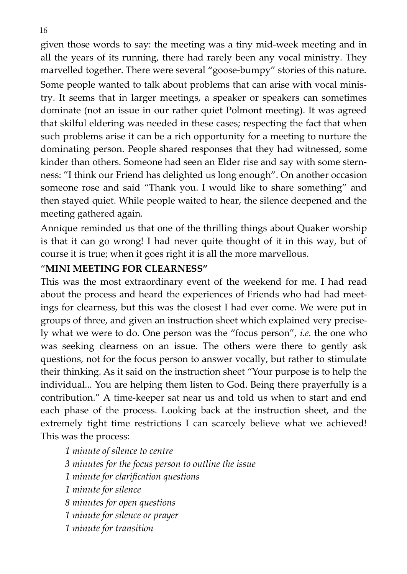given those words to say: the meeting was a tiny mid-week meeting and in all the years of its running, there had rarely been any vocal ministry. They marvelled together. There were several "goose-bumpy" stories of this nature. Some people wanted to talk about problems that can arise with vocal ministry. It seems that in larger meetings, a speaker or speakers can sometimes dominate (not an issue in our rather quiet Polmont meeting). It was agreed that skilful eldering was needed in these cases; respecting the fact that when such problems arise it can be a rich opportunity for a meeting to nurture the dominating person. People shared responses that they had witnessed, some kinder than others. Someone had seen an Elder rise and say with some sternness: "I think our Friend has delighted us long enough". On another occasion someone rose and said "Thank you. I would like to share something" and then stayed quiet. While people waited to hear, the silence deepened and the meeting gathered again.

Annique reminded us that one of the thrilling things about Quaker worship is that it can go wrong! I had never quite thought of it in this way, but of course it is true; when it goes right it is all the more marvellous.

#### "**MINI MEETING FOR CLEARNESS"**

This was the most extraordinary event of the weekend for me. I had read about the process and heard the experiences of Friends who had had meetings for clearness, but this was the closest I had ever come. We were put in groups of three, and given an instruction sheet which explained very precisely what we were to do. One person was the "focus person", *i.e.* the one who was seeking clearness on an issue. The others were there to gently ask questions, not for the focus person to answer vocally, but rather to stimulate their thinking. As it said on the instruction sheet "Your purpose is to help the individual... You are helping them listen to God. Being there prayerfully is a contribution." A time-keeper sat near us and told us when to start and end each phase of the process. Looking back at the instruction sheet, and the extremely tight time restrictions I can scarcely believe what we achieved! This was the process:

*1 minute of silence to centre 3 minutes for the focus person to outline the issue 1 minute for clarification questions 1 minute for silence 8 minutes for open questions 1 minute for silence or prayer 1 minute for transition*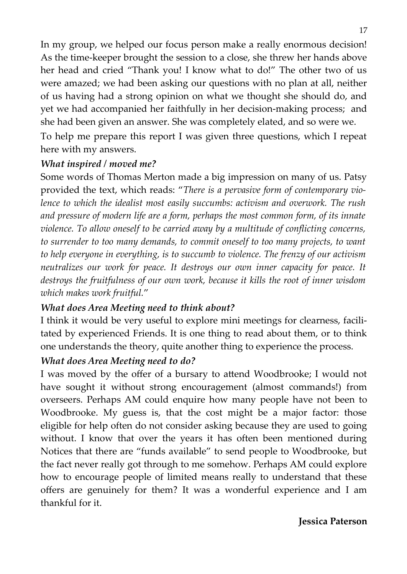In my group, we helped our focus person make a really enormous decision! As the time-keeper brought the session to a close, she threw her hands above her head and cried "Thank you! I know what to do!" The other two of us were amazed; we had been asking our questions with no plan at all, neither of us having had a strong opinion on what we thought she should do, and yet we had accompanied her faithfully in her decision-making process; and she had been given an answer. She was completely elated, and so were we.

To help me prepare this report I was given three questions, which I repeat here with my answers.

#### *What inspired / moved me?*

Some words of Thomas Merton made a big impression on many of us. Patsy provided the text, which reads: "*There is a pervasive form of contemporary violence to which the idealist most easily succumbs: activism and overwork. The rush and pressure of modern life are a form, perhaps the most common form, of its innate violence. To allow oneself to be carried away by a multitude of conflicting concerns, to surrender to too many demands, to commit oneself to too many projects, to want to help everyone in everything, is to succumb to violence. The frenzy of our activism neutralizes our work for peace. It destroys our own inner capacity for peace. It destroys the fruitfulness of our own work, because it kills the root of inner wisdom which makes work fruitful.*"

#### *What does Area Meeting need to think about?*

I think it would be very useful to explore mini meetings for clearness, facilitated by experienced Friends. It is one thing to read about them, or to think one understands the theory, quite another thing to experience the process.

#### *What does Area Meeting need to do?*

I was moved by the offer of a bursary to attend Woodbrooke; I would not have sought it without strong encouragement (almost commands!) from overseers. Perhaps AM could enquire how many people have not been to Woodbrooke. My guess is, that the cost might be a major factor: those eligible for help often do not consider asking because they are used to going without. I know that over the years it has often been mentioned during Notices that there are "funds available" to send people to Woodbrooke, but the fact never really got through to me somehow. Perhaps AM could explore how to encourage people of limited means really to understand that these offers are genuinely for them? It was a wonderful experience and I am thankful for it.

#### **Jessica Paterson**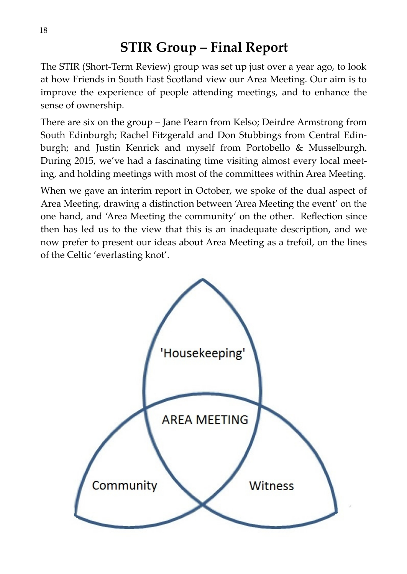# **STIR Group – Final Report**

The STIR (Short-Term Review) group was set up just over a year ago, to look at how Friends in South East Scotland view our Area Meeting. Our aim is to improve the experience of people attending meetings, and to enhance the sense of ownership.

There are six on the group – Jane Pearn from Kelso; Deirdre Armstrong from South Edinburgh; Rachel Fitzgerald and Don Stubbings from Central Edinburgh; and Justin Kenrick and myself from Portobello & Musselburgh. During 2015, we've had a fascinating time visiting almost every local meeting, and holding meetings with most of the committees within Area Meeting.

When we gave an interim report in October, we spoke of the dual aspect of Area Meeting, drawing a distinction between 'Area Meeting the event' on the one hand, and 'Area Meeting the community' on the other. Reflection since then has led us to the view that this is an inadequate description, and we now prefer to present our ideas about Area Meeting as a trefoil, on the lines of the Celtic 'everlasting knot'.

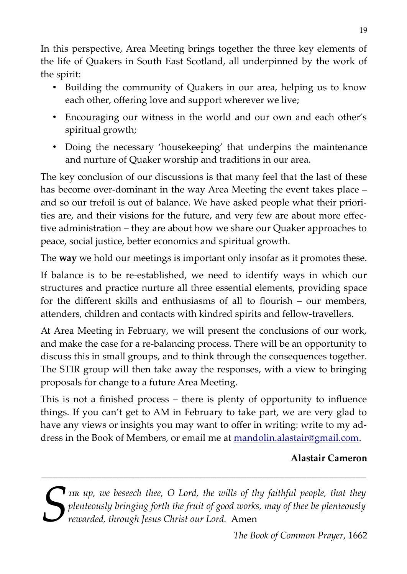In this perspective, Area Meeting brings together the three key elements of the life of Quakers in South East Scotland, all underpinned by the work of the spirit:

- Building the community of Quakers in our area, helping us to know each other, offering love and support wherever we live;
- Encouraging our witness in the world and our own and each other's spiritual growth;
- Doing the necessary 'housekeeping' that underpins the maintenance and nurture of Quaker worship and traditions in our area.

The key conclusion of our discussions is that many feel that the last of these has become over-dominant in the way Area Meeting the event takes place – and so our trefoil is out of balance. We have asked people what their priorities are, and their visions for the future, and very few are about more effective administration – they are about how we share our Quaker approaches to peace, social justice, better economics and spiritual growth.

The **way** we hold our meetings is important only insofar as it promotes these.

If balance is to be re-established, we need to identify ways in which our structures and practice nurture all three essential elements, providing space for the different skills and enthusiasms of all to flourish – our members, attenders, children and contacts with kindred spirits and fellow-travellers.

At Area Meeting in February, we will present the conclusions of our work, and make the case for a re-balancing process. There will be an opportunity to discuss this in small groups, and to think through the consequences together. The STIR group will then take away the responses, with a view to bringing proposals for change to a future Area Meeting.

This is not a finished process – there is plenty of opportunity to influence things. If you can't get to AM in February to take part, we are very glad to have any views or insights you may want to offer in writing: write to my address in the Book of Members, or email me at [mandolin.alastair@gmail.com.](mailto:mandolin.alastair@gmail.com)

#### **Alastair Cameron**

**T**<sub>*TIR*</sub> *up, we beseech thee, O Lord, the wills of thy faithful people, that they plenteously bringing forth the fruit of good works, may of thee be plenteously*<br>*rewarded, through Jesus Christ our Lord. Amen* 

**\_\_\_\_\_\_\_\_\_\_\_\_\_\_\_\_\_\_\_\_\_\_\_\_\_\_\_\_\_\_\_\_\_\_\_\_\_\_\_\_\_\_\_\_\_\_\_\_\_\_\_\_\_\_\_\_\_\_\_\_\_\_\_\_\_\_\_\_\_\_\_\_\_\_\_\_\_\_\_\_\_\_\_\_\_\_\_\_\_\_\_\_\_\_\_\_\_\_\_\_\_\_\_\_\_\_\_\_\_\_\_\_\_\_\_\_\_\_\_**

*The Book of Common Prayer*, 1662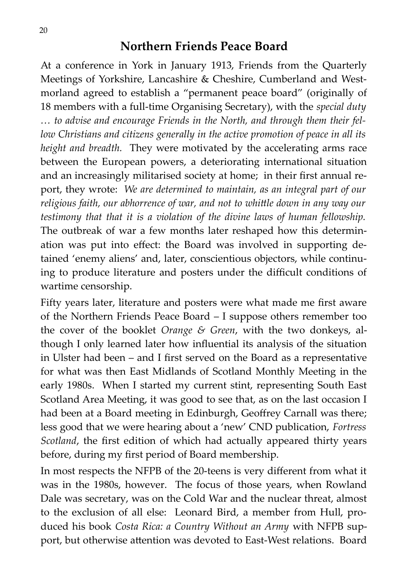## **Northern Friends Peace Board**

At a conference in York in January 1913, Friends from the Quarterly Meetings of Yorkshire, Lancashire & Cheshire, Cumberland and Westmorland agreed to establish a "permanent peace board" (originally of 18 members with a full-time Organising Secretary), with the *special duty … to advise and encourage Friends in the North, and through them their fellow Christians and citizens generally in the active promotion of peace in all its height and breadth.* They were motivated by the accelerating arms race between the European powers, a deteriorating international situation and an increasingly militarised society at home; in their first annual report, they wrote: *We are determined to maintain, as an integral part of our religious faith, our abhorrence of war, and not to whittle down in any way our testimony that that it is a violation of the divine laws of human fellowship.* The outbreak of war a few months later reshaped how this determination was put into effect: the Board was involved in supporting detained 'enemy aliens' and, later, conscientious objectors, while continuing to produce literature and posters under the difficult conditions of wartime censorship.

Fifty years later, literature and posters were what made me first aware of the Northern Friends Peace Board – I suppose others remember too the cover of the booklet *Orange & Green*, with the two donkeys, although I only learned later how influential its analysis of the situation in Ulster had been – and I first served on the Board as a representative for what was then East Midlands of Scotland Monthly Meeting in the early 1980s. When I started my current stint, representing South East Scotland Area Meeting, it was good to see that, as on the last occasion I had been at a Board meeting in Edinburgh, Geoffrey Carnall was there; less good that we were hearing about a 'new' CND publication, *Fortress Scotland*, the first edition of which had actually appeared thirty years before, during my first period of Board membership.

In most respects the NFPB of the 20-teens is very different from what it was in the 1980s, however. The focus of those years, when Rowland Dale was secretary, was on the Cold War and the nuclear threat, almost to the exclusion of all else: Leonard Bird, a member from Hull, produced his book *Costa Rica: a Country Without an Army* with NFPB support, but otherwise attention was devoted to East-West relations. Board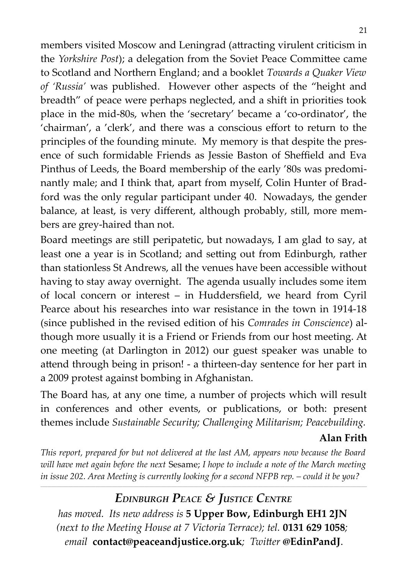members visited Moscow and Leningrad (attracting virulent criticism in the *Yorkshire Post*); a delegation from the Soviet Peace Committee came to Scotland and Northern England; and a booklet *Towards a Quaker View of 'Russia'* was published. However other aspects of the "height and breadth" of peace were perhaps neglected, and a shift in priorities took place in the mid-80s, when the 'secretary' became a 'co-ordinator', the 'chairman', a 'clerk', and there was a conscious effort to return to the principles of the founding minute. My memory is that despite the presence of such formidable Friends as Jessie Baston of Sheffield and Eva Pinthus of Leeds, the Board membership of the early '80s was predominantly male; and I think that, apart from myself, Colin Hunter of Bradford was the only regular participant under 40. Nowadays, the gender balance, at least, is very different, although probably, still, more members are grey-haired than not.

Board meetings are still peripatetic, but nowadays, I am glad to say, at least one a year is in Scotland; and setting out from Edinburgh, rather than stationless St Andrews, all the venues have been accessible without having to stay away overnight. The agenda usually includes some item of local concern or interest – in Huddersfield, we heard from Cyril Pearce about his researches into war resistance in the town in 1914-18 (since published in the revised edition of his *Comrades in Conscience*) although more usually it is a Friend or Friends from our host meeting. At one meeting (at Darlington in 2012) our guest speaker was unable to attend through being in prison! - a thirteen-day sentence for her part in a 2009 protest against bombing in Afghanistan.

The Board has, at any one time, a number of projects which will result in conferences and other events, or publications, or both: present themes include *Sustainable Security; Challenging Militarism; Peacebuilding.*

#### **Alan Frith**

*This report, prepared for but not delivered at the last AM, appears now because the Board will have met again before the next* Sesame; *I hope to include a note of the March meeting in issue 202. Area Meeting is currently looking for a second NFPB rep. – could it be you?*

**\_\_\_\_\_\_\_\_\_\_\_\_\_\_\_\_\_\_\_\_\_\_\_\_\_\_\_\_\_\_\_\_\_\_\_\_\_\_\_\_\_\_\_\_\_\_\_\_\_\_\_\_\_\_\_\_\_\_\_\_\_\_\_\_\_\_\_\_\_\_\_\_\_\_\_\_\_\_\_\_\_\_\_\_\_\_\_\_\_\_\_\_\_\_\_\_\_\_\_\_\_\_\_\_\_\_\_\_\_\_\_\_\_\_\_\_\_\_\_\_\_\_\_\_\_\_\_\_\_\_\_\_\_\_\_\_\_\_\_\_\_\_\_\_\_\_\_\_\_\_\_\_\_\_\_\_\_\_\_\_\_\_\_\_\_\_\_\_\_\_\_\_\_\_\_\_\_\_\_\_\_\_\_\_\_\_\_\_\_\_\_\_\_\_\_\_\_\_\_\_\_\_\_\_\_\_\_\_\_\_\_\_\_\_\_\_\_\_\_\_\_\_\_\_\_\_\_\_\_\_\_\_\_\_\_\_\_\_\_**

*EDINBURGH PEACE & JUSTICE CENTRE has moved. Its new address is* **5 Upper Bow, Edinburgh EH1 2JN**  *(next to the Meeting House at 7 Victoria Terrace); tel.* **0131 629 1058***; email* **[contact@peaceandjustice.org.uk](mailto:contact@peaceandjustice.org.uk)***; Twitter* **@EdinPandJ**.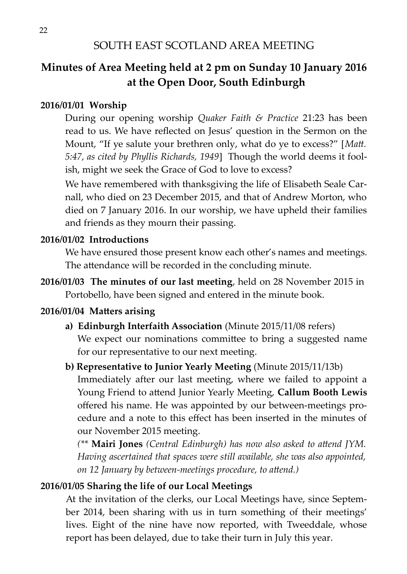## **Minutes of Area Meeting held at 2 pm on Sunday 10 January 2016 at the Open Door, South Edinburgh**

#### **2016/01/01 Worship**

During our opening worship *Quaker Faith & Practice* 21:23 has been read to us. We have reflected on Jesus' question in the Sermon on the Mount, "If ye salute your brethren only, what do ye to excess?" [*Matt. 5:47, as cited by Phyllis Richards, 1949*] Though the world deems it foolish, might we seek the Grace of God to love to excess?

We have remembered with thanksgiving the life of Elisabeth Seale Carnall, who died on 23 December 2015, and that of Andrew Morton, who died on 7 January 2016. In our worship, we have upheld their families and friends as they mourn their passing.

#### **2016/01/02 Introductions**

We have ensured those present know each other's names and meetings. The attendance will be recorded in the concluding minute.

**2016/01/03 The minutes of our last meeting**, held on 28 November 2015 in Portobello, have been signed and entered in the minute book.

#### **2016/01/04 Matters arising**

**a) Edinburgh Interfaith Association** (Minute 2015/11/08 refers) We expect our nominations committee to bring a suggested name for our representative to our next meeting.

#### **b) Representative to Junior Yearly Meeting** (Minute 2015/11/13b)

Immediately after our last meeting, where we failed to appoint a Young Friend to attend Junior Yearly Meeting, **Callum Booth Lewis** offered his name. He was appointed by our between-meetings procedure and a note to this effect has been inserted in the minutes of our November 2015 meeting.

*(\*\** **Mairi Jones** *(Central Edinburgh) has now also asked to attend JYM. Having ascertained that spaces were still available, she was also appointed, on 12 January by between-meetings procedure, to attend.)*

#### **2016/01/05 Sharing the life of our Local Meetings**

At the invitation of the clerks, our Local Meetings have, since September 2014, been sharing with us in turn something of their meetings' lives. Eight of the nine have now reported, with Tweeddale, whose report has been delayed, due to take their turn in July this year.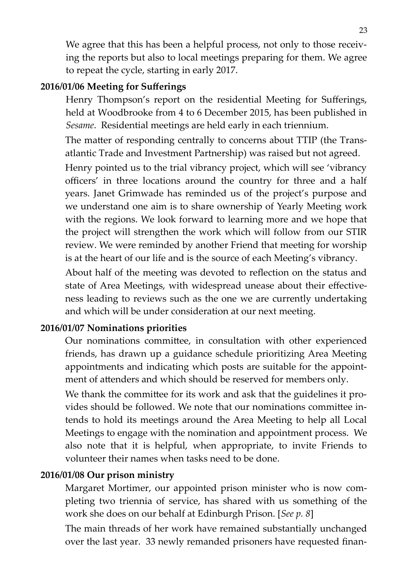We agree that this has been a helpful process, not only to those receiving the reports but also to local meetings preparing for them. We agree to repeat the cycle, starting in early 2017.

#### **2016/01/06 Meeting for Sufferings**

Henry Thompson's report on the residential Meeting for Sufferings, held at Woodbrooke from 4 to 6 December 2015, has been published in *Sesame*. Residential meetings are held early in each triennium.

The matter of responding centrally to concerns about TTIP (the Transatlantic Trade and Investment Partnership) was raised but not agreed.

Henry pointed us to the trial vibrancy project, which will see 'vibrancy officers' in three locations around the country for three and a half years. Janet Grimwade has reminded us of the project's purpose and we understand one aim is to share ownership of Yearly Meeting work with the regions. We look forward to learning more and we hope that the project will strengthen the work which will follow from our STIR review. We were reminded by another Friend that meeting for worship is at the heart of our life and is the source of each Meeting's vibrancy.

About half of the meeting was devoted to reflection on the status and state of Area Meetings, with widespread unease about their effectiveness leading to reviews such as the one we are currently undertaking and which will be under consideration at our next meeting.

#### **2016/01/07 Nominations priorities**

Our nominations committee, in consultation with other experienced friends, has drawn up a guidance schedule prioritizing Area Meeting appointments and indicating which posts are suitable for the appointment of attenders and which should be reserved for members only.

We thank the committee for its work and ask that the guidelines it provides should be followed. We note that our nominations committee intends to hold its meetings around the Area Meeting to help all Local Meetings to engage with the nomination and appointment process. We also note that it is helpful, when appropriate, to invite Friends to volunteer their names when tasks need to be done.

#### **2016/01/08 Our prison ministry**

Margaret Mortimer, our appointed prison minister who is now completing two triennia of service, has shared with us something of the work she does on our behalf at Edinburgh Prison. [*See p. 8*]

The main threads of her work have remained substantially unchanged over the last year. 33 newly remanded prisoners have requested finan-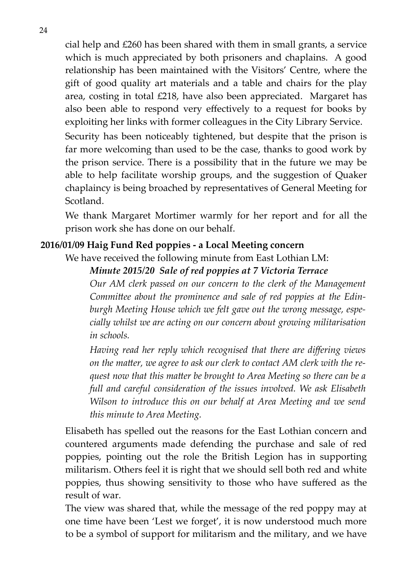cial help and £260 has been shared with them in small grants, a service which is much appreciated by both prisoners and chaplains. A good relationship has been maintained with the Visitors' Centre, where the gift of good quality art materials and a table and chairs for the play area, costing in total £218, have also been appreciated. Margaret has also been able to respond very effectively to a request for books by exploiting her links with former colleagues in the City Library Service.

Security has been noticeably tightened, but despite that the prison is far more welcoming than used to be the case, thanks to good work by the prison service. There is a possibility that in the future we may be able to help facilitate worship groups, and the suggestion of Quaker chaplaincy is being broached by representatives of General Meeting for Scotland.

We thank Margaret Mortimer warmly for her report and for all the prison work she has done on our behalf.

#### **2016/01/09 Haig Fund Red poppies - a Local Meeting concern**

We have received the following minute from East Lothian LM:

#### *Minute 2015/20 Sale of red poppies at 7 Victoria Terrace*

*Our AM clerk passed on our concern to the clerk of the Management Committee about the prominence and sale of red poppies at the Edinburgh Meeting House which we felt gave out the wrong message, especially whilst we are acting on our concern about growing militarisation in schools.*

*Having read her reply which recognised that there are differing views on the matter, we agree to ask our clerk to contact AM clerk with the request now that this matter be brought to Area Meeting so there can be a full and careful consideration of the issues involved. We ask Elisabeth Wilson to introduce this on our behalf at Area Meeting and we send this minute to Area Meeting.*

Elisabeth has spelled out the reasons for the East Lothian concern and countered arguments made defending the purchase and sale of red poppies, pointing out the role the British Legion has in supporting militarism. Others feel it is right that we should sell both red and white poppies, thus showing sensitivity to those who have suffered as the result of war.

The view was shared that, while the message of the red poppy may at one time have been 'Lest we forget', it is now understood much more to be a symbol of support for militarism and the military, and we have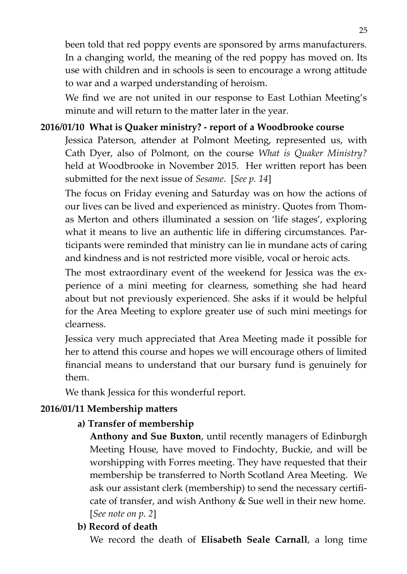been told that red poppy events are sponsored by arms manufacturers. In a changing world, the meaning of the red poppy has moved on. Its use with children and in schools is seen to encourage a wrong attitude to war and a warped understanding of heroism.

We find we are not united in our response to East Lothian Meeting's minute and will return to the matter later in the year.

#### **2016/01/10 What is Quaker ministry? - report of a Woodbrooke course**

Jessica Paterson, attender at Polmont Meeting, represented us, with Cath Dyer, also of Polmont, on the course *What is Quaker Ministry?* held at Woodbrooke in November 2015. Her written report has been submitted for the next issue of *Sesame*. [*See p. 14*]

The focus on Friday evening and Saturday was on how the actions of our lives can be lived and experienced as ministry. Quotes from Thomas Merton and others illuminated a session on 'life stages', exploring what it means to live an authentic life in differing circumstances. Participants were reminded that ministry can lie in mundane acts of caring and kindness and is not restricted more visible, vocal or heroic acts.

The most extraordinary event of the weekend for Jessica was the experience of a mini meeting for clearness, something she had heard about but not previously experienced. She asks if it would be helpful for the Area Meeting to explore greater use of such mini meetings for clearness.

Jessica very much appreciated that Area Meeting made it possible for her to attend this course and hopes we will encourage others of limited financial means to understand that our bursary fund is genuinely for them.

We thank Jessica for this wonderful report.

#### **2016/01/11 Membership matters**

#### **a) Transfer of membership**

**Anthony and Sue Buxton**, until recently managers of Edinburgh Meeting House, have moved to Findochty, Buckie, and will be worshipping with Forres meeting. They have requested that their membership be transferred to North Scotland Area Meeting. We ask our assistant clerk (membership) to send the necessary certificate of transfer, and wish Anthony & Sue well in their new home. [*See note on p. 2*]

#### **b) Record of death**

We record the death of **Elisabeth Seale Carnall**, a long time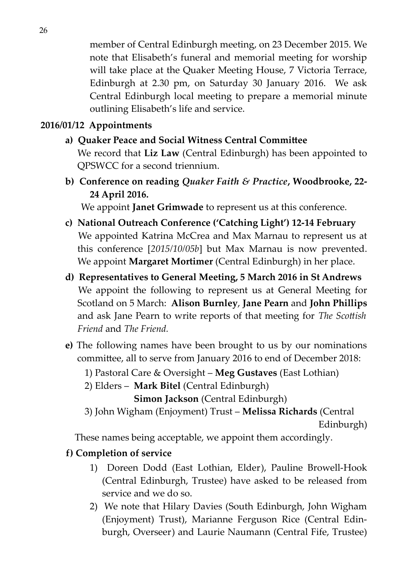member of Central Edinburgh meeting, on 23 December 2015. We note that Elisabeth's funeral and memorial meeting for worship will take place at the Quaker Meeting House, 7 Victoria Terrace, Edinburgh at 2.30 pm, on Saturday 30 January 2016. We ask Central Edinburgh local meeting to prepare a memorial minute outlining Elisabeth's life and service.

#### **2016/01/12 Appointments**

- **a) Quaker Peace and Social Witness Central Committee** We record that **Liz Law** (Central Edinburgh) has been appointed to QPSWCC for a second triennium.
- **b) Conference on reading** *Quaker Faith & Practice***, Woodbrooke, 22- 24 April 2016.**

We appoint **Janet Grimwade** to represent us at this conference.

- **c) National Outreach Conference ('Catching Light') 12-14 February** We appointed Katrina McCrea and Max Marnau to represent us at this conference [*2015/10/05b*] but Max Marnau is now prevented. We appoint **Margaret Mortimer** (Central Edinburgh) in her place.
- **d) Representatives to General Meeting, 5 March 2016 in St Andrews** We appoint the following to represent us at General Meeting for Scotland on 5 March: **Alison Burnley**, **Jane Pearn** and **John Phillips** and ask Jane Pearn to write reports of that meeting for *The Scottish Friend* and *The Friend.*
- **e)** The following names have been brought to us by our nominations committee, all to serve from January 2016 to end of December 2018:
	- 1) Pastoral Care & Oversight **Meg Gustaves** (East Lothian)
	- 2) Elders **Mark Bitel** (Central Edinburgh)

 **Simon Jackson** (Central Edinburgh)

 3) John Wigham (Enjoyment) Trust – **Melissa Richards** (Central Edinburgh)

These names being acceptable, we appoint them accordingly.

#### **f) Completion of service**

- 1) Doreen Dodd (East Lothian, Elder), Pauline Browell-Hook (Central Edinburgh, Trustee) have asked to be released from service and we do so.
- 2) We note that Hilary Davies (South Edinburgh, John Wigham (Enjoyment) Trust), Marianne Ferguson Rice (Central Edinburgh, Overseer) and Laurie Naumann (Central Fife, Trustee)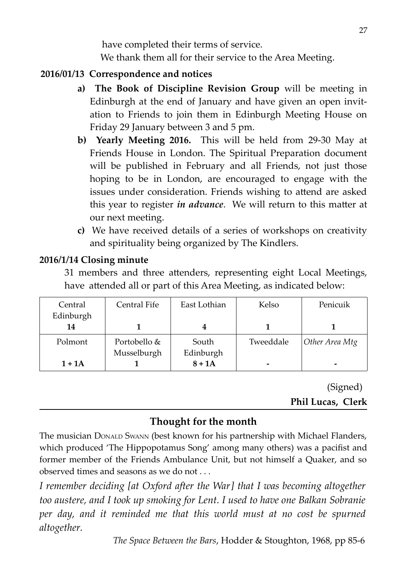have completed their terms of service. We thank them all for their service to the Area Meeting.

#### **2016/01/13 Correspondence and notices**

- **a) The Book of Discipline Revision Group** will be meeting in Edinburgh at the end of January and have given an open invitation to Friends to join them in Edinburgh Meeting House on Friday 29 January between 3 and 5 pm.
- **b) Yearly Meeting 2016.** This will be held from 29-30 May at Friends House in London. The Spiritual Preparation document will be published in February and all Friends, not just those hoping to be in London, are encouraged to engage with the issues under consideration. Friends wishing to attend are asked this year to register *in advance*. We will return to this matter at our next meeting.
- **c)** We have received details of a series of workshops on creativity and spirituality being organized by The Kindlers.

#### **2016/1/14 Closing minute**

31 members and three attenders, representing eight Local Meetings, have attended all or part of this Area Meeting, as indicated below:

| Central   | Central Fife | East Lothian | Kelso     | Penicuik       |
|-----------|--------------|--------------|-----------|----------------|
| Edinburgh |              |              |           |                |
| 14        |              |              |           |                |
| Polmont   | Portobello & | South        | Tweeddale | Other Area Mtg |
|           | Musselburgh  | Edinburgh    |           |                |
| $1+1A$    |              | $8+1A$       | -         | -              |

(Signed) **Phil Lucas, Clerk**

## **Thought for the month**

The musician DONALD SWANN (best known for his partnership with Michael Flanders, which produced 'The Hippopotamus Song' among many others) was a pacifist and former member of the Friends Ambulance Unit, but not himself a Quaker, and so observed times and seasons as we do not . . .

*I remember deciding [at Oxford after the War] that I was becoming altogether too austere, and I took up smoking for Lent. I used to have one Balkan Sobranie per day, and it reminded me that this world must at no cost be spurned altogether.*